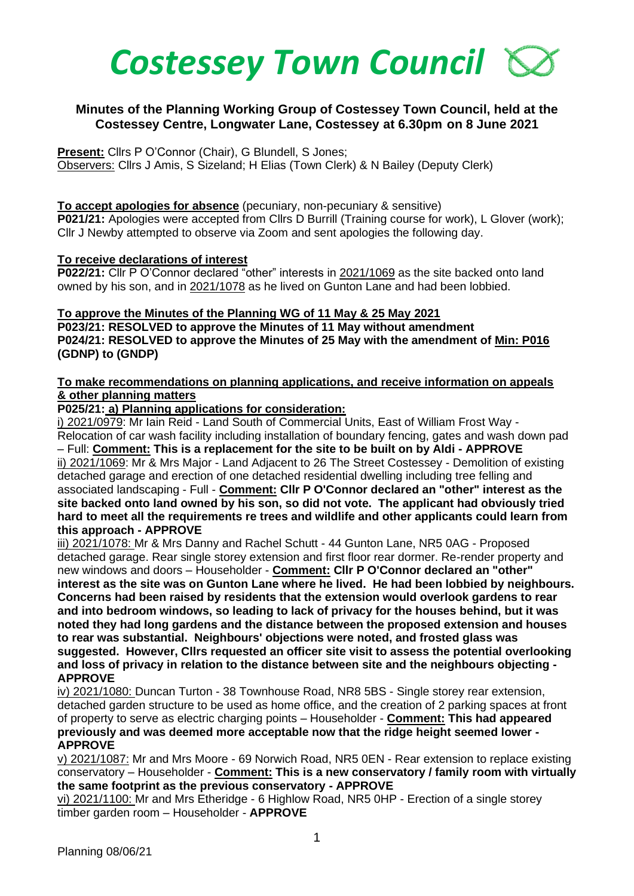

# **Minutes of the Planning Working Group of Costessey Town Council, held at the Costessey Centre, Longwater Lane, Costessey at 6.30pm on 8 June 2021**

**Present:** Cllrs P O'Connor (Chair), G Blundell, S Jones;

Observers: Cllrs J Amis, S Sizeland; H Elias (Town Clerk) & N Bailey (Deputy Clerk)

## **To accept apologies for absence** (pecuniary, non-pecuniary & sensitive)

**P021/21:** Apologies were accepted from Cllrs D Burrill (Training course for work), L Glover (work); Cllr J Newby attempted to observe via Zoom and sent apologies the following day.

## **To receive declarations of interest**

**P022/21:** Cllr P O'Connor declared "other" interests in 2021/1069 as the site backed onto land owned by his son, and in 2021/1078 as he lived on Gunton Lane and had been lobbied.

### **To approve the Minutes of the Planning WG of 11 May & 25 May 2021 P023/21: RESOLVED to approve the Minutes of 11 May without amendment P024/21: RESOLVED to approve the Minutes of 25 May with the amendment of Min: P016 (GDNP) to (GNDP)**

## **To make recommendations on planning applications, and receive information on appeals & other planning matters**

**P025/21: a) Planning applications for consideration:** 

i) 2021/0979: Mr Iain Reid - Land South of Commercial Units, East of William Frost Way - Relocation of car wash facility including installation of boundary fencing, gates and wash down pad – Full: **Comment: This is a replacement for the site to be built on by Aldi - APPROVE** ii) 2021/1069: Mr & Mrs Major - Land Adjacent to 26 The Street Costessey - Demolition of existing detached garage and erection of one detached residential dwelling including tree felling and associated landscaping - Full - **Comment: Cllr P O'Connor declared an "other" interest as the site backed onto land owned by his son, so did not vote. The applicant had obviously tried hard to meet all the requirements re trees and wildlife and other applicants could learn from this approach - APPROVE**

iii) 2021/1078: Mr & Mrs Danny and Rachel Schutt - 44 Gunton Lane, NR5 0AG - Proposed detached garage. Rear single storey extension and first floor rear dormer. Re-render property and new windows and doors – Householder - **Comment: Cllr P O'Connor declared an "other" interest as the site was on Gunton Lane where he lived. He had been lobbied by neighbours. Concerns had been raised by residents that the extension would overlook gardens to rear and into bedroom windows, so leading to lack of privacy for the houses behind, but it was noted they had long gardens and the distance between the proposed extension and houses to rear was substantial. Neighbours' objections were noted, and frosted glass was suggested. However, Cllrs requested an officer site visit to assess the potential overlooking and loss of privacy in relation to the distance between site and the neighbours objecting - APPROVE**

iv) 2021/1080: Duncan Turton - 38 Townhouse Road, NR8 5BS - Single storey rear extension, detached garden structure to be used as home office, and the creation of 2 parking spaces at front of property to serve as electric charging points – Householder - **Comment: This had appeared previously and was deemed more acceptable now that the ridge height seemed lower - APPROVE**

v) 2021/1087: Mr and Mrs Moore - 69 Norwich Road, NR5 0EN - Rear extension to replace existing conservatory – Householder - **Comment: This is a new conservatory / family room with virtually the same footprint as the previous conservatory - APPROVE**

vi) 2021/1100: Mr and Mrs Etheridge - 6 Highlow Road, NR5 0HP - Erection of a single storey timber garden room – Householder - **APPROVE**